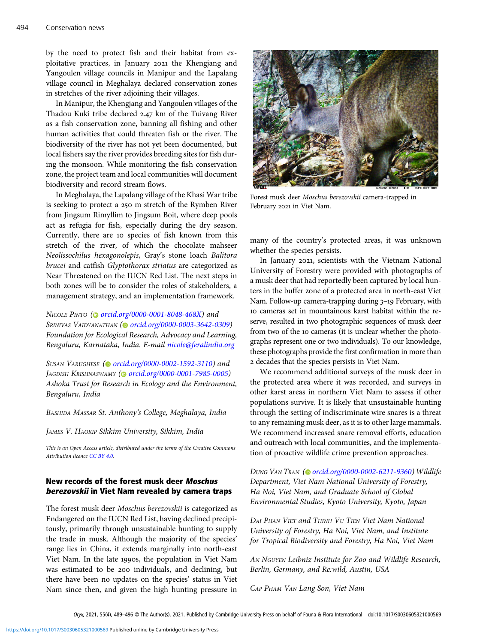by the need to protect fish and their habitat from exploitative practices, in January 2021 the Khengjang and Yangoulen village councils in Manipur and the Lapalang village council in Meghalaya declared conservation zones in stretches of the river adjoining their villages.

In Manipur, the Khengjang and Yangoulen villages of the Thadou Kuki tribe declared 2.47 km of the Tuivang River as a fish conservation zone, banning all fishing and other human activities that could threaten fish or the river. The biodiversity of the river has not yet been documented, but local fishers say the river provides breeding sites for fish during the monsoon. While monitoring the fish conservation zone, the project team and local communities will document biodiversity and record stream flows.

In Meghalaya, the Lapalang village of the Khasi War tribe is seeking to protect a 250 m stretch of the Rymben River from Jingsum Rimyllim to Jingsum Boit, where deep pools act as refugia for fish, especially during the dry season. Currently, there are 10 species of fish known from this stretch of the river, of which the chocolate mahseer Neolissochilus hexagonolepis, Gray's stone loach Balitora brucei and catfish Glyptothorax striatus are categorized as Near Threatened on the IUCN Red List. The next steps in both zones will be to consider the roles of stakeholders, a management strategy, and an implementation framework.

NICOLE PINTO ( $\odot$  [orcid.org/0000-0001-8048-468X\)](https://orcid.org/0000-0001-8048-468X) and SRINIVAS VAIDYANATHAN [\(](https://orcid.org)@ [orcid.org/0000-0003-3642-0309](https://orcid.org/0000-0003-3642-0309)) Foundation for Ecological Research, Advocacy and Learning, Bengaluru, Karnataka, India. E-mail [nicole@feralindia.org](mailto:nicole@feralindia.org)

SUSAN VARUGHESE (@ [orcid.org/0000-0002-1592-3110](https://orcid.org/0000-0002-1592-3110)) and JAGDISH KRISHNASWAMY [\(](https://orcid.org)@ [orcid.org/0000-0001-7985-0005](https://orcid.org/0000-0001-7985-0005)) Ashoka Trust for Research in Ecology and the Environment, Bengaluru, India

BASHIDA MASSAR St. Anthony's College, Meghalaya, India

JAMES V. HAOKIP Sikkim University, Sikkim, India

This is an Open Access article, distributed under the terms of the Creative Commons Attribution licence [CC BY 4.0](http://creativecommons.org/licenses/by/4.0/).

## New records of the forest musk deer Moschus berezovskii in Viet Nam revealed by camera traps

The forest musk deer Moschus berezovskii is categorized as Endangered on the IUCN Red List, having declined precipitously, primarily through unsustainable hunting to supply the trade in musk. Although the majority of the species' range lies in China, it extends marginally into north-east Viet Nam. In the late 1990s, the population in Viet Nam was estimated to be 200 individuals, and declining, but there have been no updates on the species' status in Viet Nam since then, and given the high hunting pressure in



Forest musk deer Moschus berezovskii camera-trapped in February 2021 in Viet Nam.

many of the country's protected areas, it was unknown whether the species persists.

In January 2021, scientists with the Vietnam National University of Forestry were provided with photographs of a musk deer that had reportedly been captured by local hunters in the buffer zone of a protected area in north-east Viet Nam. Follow-up camera-trapping during 3-19 February, with cameras set in mountainous karst habitat within the reserve, resulted in two photographic sequences of musk deer from two of the 10 cameras (it is unclear whether the photographs represent one or two individuals). To our knowledge, these photographs provide the first confirmation in more than decades that the species persists in Viet Nam.

We recommend additional surveys of the musk deer in the protected area where it was recorded, and surveys in other karst areas in northern Viet Nam to assess if other populations survive. It is likely that unsustainable hunting through the setting of indiscriminate wire snares is a threat to any remaining musk deer, as it is to other large mammals. We recommend increased snare removal efforts, education and outreach with local communities, and the implementation of proactive wildlife crime prevention approaches.

DUNG VAN TRAN [\(](https://orcid.org)@ [orcid.org/0000-0002-6211-9360\)](https://orcid.org/0000-0002-6211-9360) Wildlife Department, Viet Nam National University of Forestry, Ha Noi, Viet Nam, and Graduate School of Global Environmental Studies, Kyoto University, Kyoto, Japan

DAI PHAN VIET and THINH VU TIEN Viet Nam National University of Forestry, Ha Noi, Viet Nam, and Institute for Tropical Biodiversity and Forestry, Ha Noi, Viet Nam

AN NGUYEN Leibniz Institute for Zoo and Wildlife Research, Berlin, Germany, and Re:wild, Austin, USA

CAP PHAM VAN Lang Son, Viet Nam